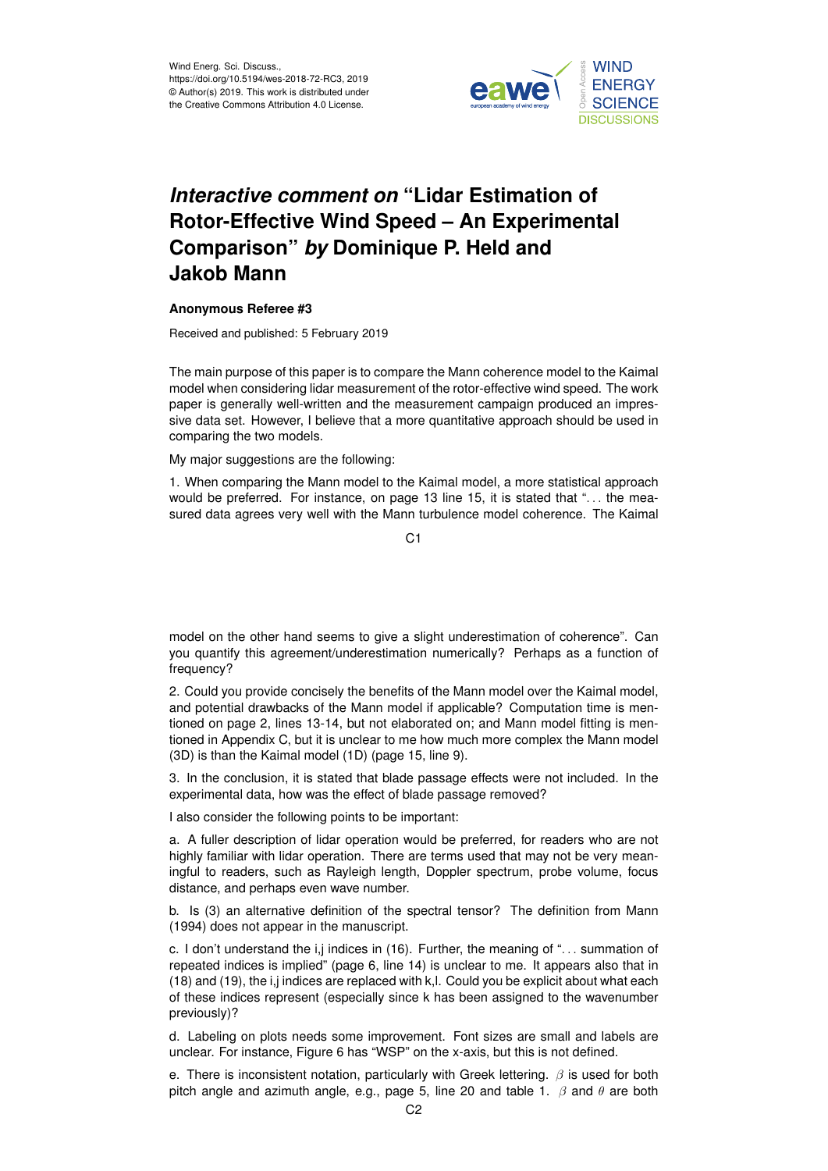

## *Interactive comment on* **"Lidar Estimation of Rotor-Effective Wind Speed – An Experimental Comparison"** *by* **Dominique P. Held and Jakob Mann**

## **Anonymous Referee #3**

Received and published: 5 February 2019

The main purpose of this paper is to compare the Mann coherence model to the Kaimal model when considering lidar measurement of the rotor-effective wind speed. The work paper is generally well-written and the measurement campaign produced an impressive data set. However, I believe that a more quantitative approach should be used in comparing the two models.

My major suggestions are the following:

1. When comparing the Mann model to the Kaimal model, a more statistical approach would be preferred. For instance, on page 13 line 15, it is stated that "... the measured data agrees very well with the Mann turbulence model coherence. The Kaimal

 $C<sub>1</sub>$ 

model on the other hand seems to give a slight underestimation of coherence". Can you quantify this agreement/underestimation numerically? Perhaps as a function of frequency?

2. Could you provide concisely the benefits of the Mann model over the Kaimal model, and potential drawbacks of the Mann model if applicable? Computation time is mentioned on page 2, lines 13-14, but not elaborated on; and Mann model fitting is mentioned in Appendix C, but it is unclear to me how much more complex the Mann model (3D) is than the Kaimal model (1D) (page 15, line 9).

3. In the conclusion, it is stated that blade passage effects were not included. In the experimental data, how was the effect of blade passage removed?

I also consider the following points to be important:

a. A fuller description of lidar operation would be preferred, for readers who are not highly familiar with lidar operation. There are terms used that may not be very meaningful to readers, such as Rayleigh length, Doppler spectrum, probe volume, focus distance, and perhaps even wave number.

b. Is (3) an alternative definition of the spectral tensor? The definition from Mann (1994) does not appear in the manuscript.

c. I don't understand the i,j indices in (16). Further, the meaning of "... summation of repeated indices is implied" (page 6, line 14) is unclear to me. It appears also that in (18) and (19), the i,j indices are replaced with k,l. Could you be explicit about what each of these indices represent (especially since k has been assigned to the wavenumber previously)?

d. Labeling on plots needs some improvement. Font sizes are small and labels are unclear. For instance, Figure 6 has "WSP" on the x-axis, but this is not defined.

e. There is inconsistent notation, particularly with Greek lettering.  $\beta$  is used for both pitch angle and azimuth angle, e.g., page 5, line 20 and table 1.  $\beta$  and  $\theta$  are both